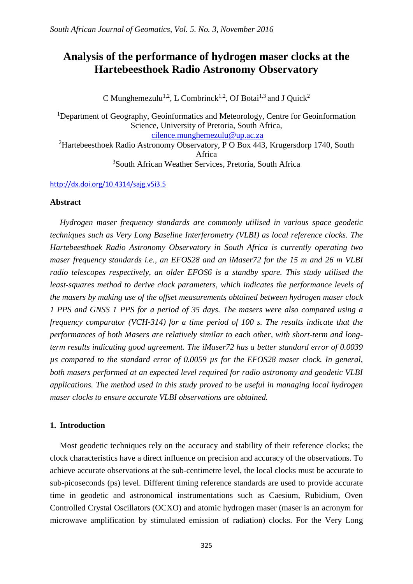# **Analysis of the performance of hydrogen maser clocks at the Hartebeesthoek Radio Astronomy Observatory**

C Munghemezulu<sup>1,2</sup>, L Combrinck<sup>1,2</sup>, OJ Botai<sup>1,3</sup> and J Quick<sup>2</sup>

<sup>1</sup>Department of Geography, Geoinformatics and Meteorology, Centre for Geoinformation Science, University of Pretoria, South Africa, [cilence.munghemezulu@up.ac.za](mailto:cilence.munghemezulu@up.ac.za) <sup>2</sup>Hartebeesthoek Radio Astronomy Observatory, P O Box 443, Krugersdorp 1740, South

Africa

<sup>3</sup>South African Weather Services, Pretoria, South Africa

# <http://dx.doi.org/10.4314/sajg.v5i3.5>

# **Abstract**

*Hydrogen maser frequency standards are commonly utilised in various space geodetic techniques such as Very Long Baseline Interferometry (VLBI) as local reference clocks. The Hartebeesthoek Radio Astronomy Observatory in South Africa is currently operating two maser frequency standards i.e., an EFOS28 and an iMaser72 for the 15 m and 26 m VLBI radio telescopes respectively, an older EFOS6 is a standby spare. This study utilised the least-squares method to derive clock parameters, which indicates the performance levels of the masers by making use of the offset measurements obtained between hydrogen maser clock 1 PPS and GNSS 1 PPS for a period of 35 days. The masers were also compared using a frequency comparator (VCH-314) for a time period of 100 s. The results indicate that the performances of both Masers are relatively similar to each other, with short-term and longterm results indicating good agreement. The iMaser72 has a better standard error of 0.0039 µs compared to the standard error of 0.0059 µs for the EFOS28 maser clock. In general, both masers performed at an expected level required for radio astronomy and geodetic VLBI applications. The method used in this study proved to be useful in managing local hydrogen maser clocks to ensure accurate VLBI observations are obtained.*

# **1. Introduction**

Most geodetic techniques rely on the accuracy and stability of their reference clocks; the clock characteristics have a direct influence on precision and accuracy of the observations. To achieve accurate observations at the sub-centimetre level, the local clocks must be accurate to sub-picoseconds (ps) level. Different timing reference standards are used to provide accurate time in geodetic and astronomical instrumentations such as Caesium, Rubidium, Oven Controlled Crystal Oscillators (OCXO) and atomic hydrogen maser (maser is an acronym for microwave amplification by stimulated emission of radiation) clocks. For the Very Long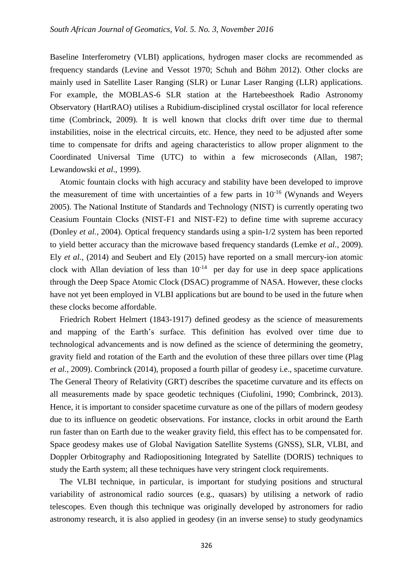Baseline Interferometry (VLBI) applications, hydrogen maser clocks are recommended as frequency standards (Levine and Vessot 1970; Schuh and Böhm 2012). Other clocks are mainly used in Satellite Laser Ranging (SLR) or Lunar Laser Ranging (LLR) applications. For example, the MOBLAS-6 SLR station at the Hartebeesthoek Radio Astronomy Observatory (HartRAO) utilises a Rubidium-disciplined crystal oscillator for local reference time (Combrinck, 2009). It is well known that clocks drift over time due to thermal instabilities, noise in the electrical circuits, etc. Hence, they need to be adjusted after some time to compensate for drifts and ageing characteristics to allow proper alignment to the Coordinated Universal Time (UTC) to within a few microseconds (Allan, 1987; Lewandowski *et al*., 1999).

Atomic fountain clocks with high accuracy and stability have been developed to improve the measurement of time with uncertainties of a few parts in  $10^{-16}$  (Wynands and Weyers 2005). The National Institute of Standards and Technology (NIST) is currently operating two Ceasium Fountain Clocks (NIST-F1 and NIST-F2) to define time with supreme accuracy (Donley *et al.,* 2004). Optical frequency standards using a spin-1/2 system has been reported to yield better accuracy than the microwave based frequency standards (Lemke *et al.,* 2009). Ely *et al.,* (2014) and Seubert and Ely (2015) have reported on a small mercury-ion atomic clock with Allan deviation of less than  $10^{-14}$  per day for use in deep space applications through the Deep Space Atomic Clock (DSAC) programme of NASA. However, these clocks have not yet been employed in VLBI applications but are bound to be used in the future when these clocks become affordable.

Friedrich Robert Helmert (1843-1917) defined geodesy as the science of measurements and mapping of the Earth's surface. This definition has evolved over time due to technological advancements and is now defined as the science of determining the geometry, gravity field and rotation of the Earth and the evolution of these three pillars over time (Plag *et al.,* 2009). Combrinck (2014), proposed a fourth pillar of geodesy i.e., spacetime curvature. The General Theory of Relativity (GRT) describes the spacetime curvature and its effects on all measurements made by space geodetic techniques (Ciufolini, 1990; Combrinck, 2013). Hence, it is important to consider spacetime curvature as one of the pillars of modern geodesy due to its influence on geodetic observations. For instance, clocks in orbit around the Earth run faster than on Earth due to the weaker gravity field, this effect has to be compensated for. Space geodesy makes use of Global Navigation Satellite Systems (GNSS), SLR, VLBI, and Doppler Orbitography and Radiopositioning Integrated by Satellite (DORIS) techniques to study the Earth system; all these techniques have very stringent clock requirements.

The VLBI technique, in particular, is important for studying positions and structural variability of astronomical radio sources (e.g., quasars) by utilising a network of radio telescopes. Even though this technique was originally developed by astronomers for radio astronomy research, it is also applied in geodesy (in an inverse sense) to study geodynamics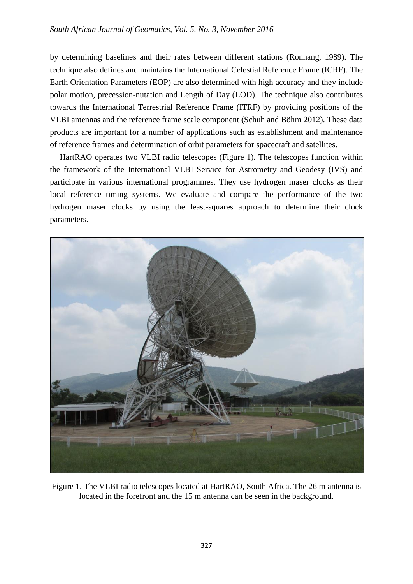by determining baselines and their rates between different stations (Ronnang, 1989). The technique also defines and maintains the International Celestial Reference Frame (ICRF). The Earth Orientation Parameters (EOP) are also determined with high accuracy and they include polar motion, precession-nutation and Length of Day (LOD). The technique also contributes towards the International Terrestrial Reference Frame (ITRF) by providing positions of the VLBI antennas and the reference frame scale component (Schuh and Böhm 2012). These data products are important for a number of applications such as establishment and maintenance of reference frames and determination of orbit parameters for spacecraft and satellites.

HartRAO operates two VLBI radio telescopes [\(Figure](#page-2-0) 1). The telescopes function within the framework of the International VLBI Service for Astrometry and Geodesy (IVS) and participate in various international programmes. They use hydrogen maser clocks as their local reference timing systems. We evaluate and compare the performance of the two hydrogen maser clocks by using the least-squares approach to determine their clock parameters.

<span id="page-2-0"></span>

Figure 1. The VLBI radio telescopes located at HartRAO, South Africa. The 26 m antenna is located in the forefront and the 15 m antenna can be seen in the background.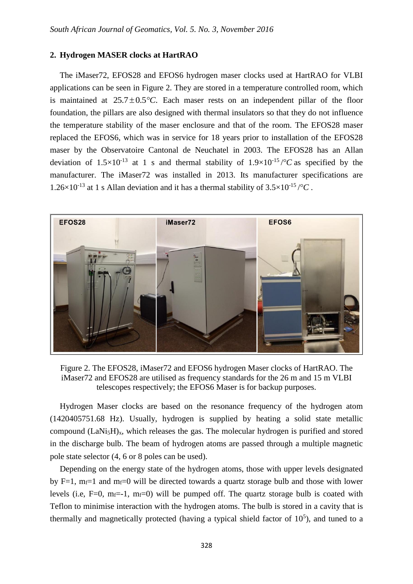# **2. Hydrogen MASER clocks at HartRAO**

The iMaser72, EFOS28 and EFOS6 hydrogen maser clocks used at HartRAO for VLBI applications can be seen in [Figure](#page-3-0) 2. They are stored in a temperature controlled room, which is maintained at  $25.7 \pm 0.5^{\circ}$ C. Each maser rests on an independent pillar of the floor foundation, the pillars are also designed with thermal insulators so that they do not influence the temperature stability of the maser enclosure and that of the room. The EFOS28 maser replaced the EFOS6, which was in service for 18 years prior to installation of the EFOS28 maser by the Observatoire Cantonal de Neuchatel in 2003. The EFOS28 has an Allan deviation of  $1.5 \times 10^{-13}$  at 1 s and thermal stability of  $1.9 \times 10^{-15}$  / $\degree$ C as specified by the manufacturer. The iMaser72 was installed in 2013. Its manufacturer specifications are 1.26×10<sup>-13</sup> at 1 s Allan deviation and it has a thermal stability of  $3.5 \times 10^{-15}$  /°C.



<span id="page-3-0"></span>Figure 2. The EFOS28, iMaser72 and EFOS6 hydrogen Maser clocks of HartRAO. The iMaser72 and EFOS28 are utilised as frequency standards for the 26 m and 15 m VLBI telescopes respectively; the EFOS6 Maser is for backup purposes.

Hydrogen Maser clocks are based on the resonance frequency of the hydrogen atom (1420405751.68 Hz). Usually, hydrogen is supplied by heating a solid state metallic compound  $(LaN_i,H)_x$ , which releases the gas. The molecular hydrogen is purified and stored in the discharge bulb. The beam of hydrogen atoms are passed through a multiple magnetic pole state selector (4, 6 or 8 poles can be used).

Depending on the energy state of the hydrogen atoms, those with upper levels designated by F=1,  $m_f=1$  and  $m_f=0$  will be directed towards a quartz storage bulb and those with lower levels (i.e, F=0, m<sub>f</sub>=-1, m<sub>f</sub>=0) will be pumped off. The quartz storage bulb is coated with Teflon to minimise interaction with the hydrogen atoms. The bulb is stored in a cavity that is thermally and magnetically protected (having a typical shield factor of  $10<sup>5</sup>$ ), and tuned to a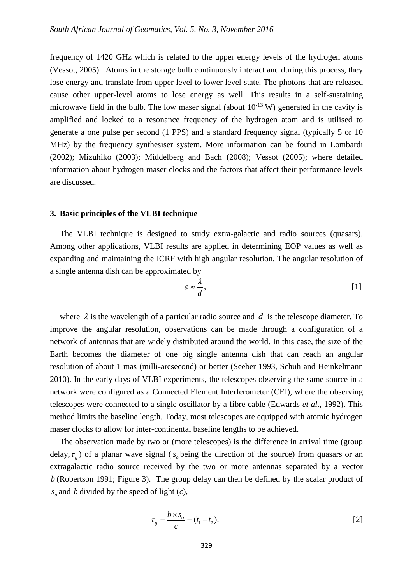frequency of 1420 GHz which is related to the upper energy levels of the hydrogen atoms (Vessot, 2005). Atoms in the storage bulb continuously interact and during this process, they lose energy and translate from upper level to lower level state. The photons that are released cause other upper-level atoms to lose energy as well. This results in a self-sustaining microwave field in the bulb. The low maser signal (about  $10^{-13}$  W) generated in the cavity is amplified and locked to a resonance frequency of the hydrogen atom and is utilised to generate a one pulse per second (1 PPS) and a standard frequency signal (typically 5 or 10 MHz) by the frequency synthesiser system. More information can be found in Lombardi (2002); Mizuhiko (2003); Middelberg and Bach (2008); Vessot (2005); where detailed information about hydrogen maser clocks and the factors that affect their performance levels are discussed.

#### **3. Basic principles of the VLBI technique**

The VLBI technique is designed to study extra-galactic and radio sources (quasars). Among other applications, VLBI results are applied in determining EOP values as well as expanding and maintaining the ICRF with high angular resolution. The angular resolution of a single antenna dish can be approximated by

$$
\varepsilon \approx \frac{\lambda}{d},\tag{1}
$$

where  $\lambda$  is the wavelength of a particular radio source and  $d$  is the telescope diameter. To improve the angular resolution, observations can be made through a configuration of a network of antennas that are widely distributed around the world. In this case, the size of the Earth becomes the diameter of one big single antenna dish that can reach an angular resolution of about 1 mas (milli-arcsecond) or better (Seeber 1993, Schuh and Heinkelmann 2010). In the early days of VLBI experiments, the telescopes observing the same source in a network were configured as a Connected Element Interferometer (CEI), where the observing telescopes were connected to a single oscillator by a fibre cable (Edwards *et al*., 1992). This method limits the baseline length. Today, most telescopes are equipped with atomic hydrogen maser clocks to allow for inter-continental baseline lengths to be achieved.

The observation made by two or (more telescopes) is the difference in arrival time (group delay,  $\tau_g$ ) of a planar wave signal ( $s_o$  being the direction of the source) from quasars or an extragalactic radio source received by the two or more antennas separated by a vector *b* (Robertson 1991; [Figure](#page-5-0) 3). The group delay can then be defined by the scalar product of  $s_o$  and *b* divided by the speed of light  $(c)$ ,

$$
\tau_g = \frac{b \times s_o}{c} = (t_1 - t_2). \tag{2}
$$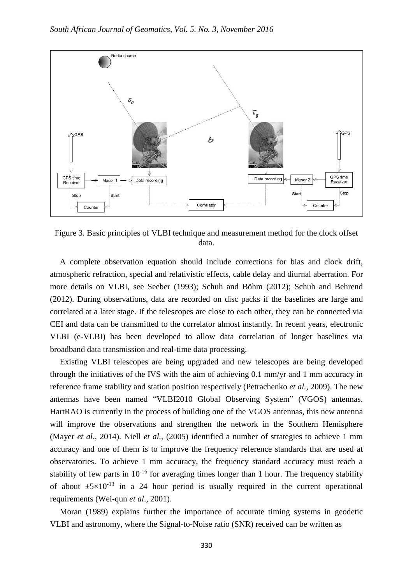

<span id="page-5-0"></span>Figure 3. Basic principles of VLBI technique and measurement method for the clock offset data.

A complete observation equation should include corrections for bias and clock drift, atmospheric refraction, special and relativistic effects, cable delay and diurnal aberration. For more details on VLBI, see Seeber (1993); Schuh and Böhm (2012); Schuh and Behrend (2012). During observations, data are recorded on disc packs if the baselines are large and correlated at a later stage. If the telescopes are close to each other, they can be connected via CEI and data can be transmitted to the correlator almost instantly. In recent years, electronic VLBI (e-VLBI) has been developed to allow data correlation of longer baselines via broadband data transmission and real-time data processing.

Existing VLBI telescopes are being upgraded and new telescopes are being developed through the initiatives of the IVS with the aim of achieving 0.1 mm/yr and 1 mm accuracy in reference frame stability and station position respectively (Petrachenko *et al.,* 2009). The new antennas have been named "VLBI2010 Global Observing System" (VGOS) antennas. HartRAO is currently in the process of building one of the VGOS antennas, this new antenna will improve the observations and strengthen the network in the Southern Hemisphere (Mayer *et al*., 2014). Niell *et al.,* (2005) identified a number of strategies to achieve 1 mm accuracy and one of them is to improve the frequency reference standards that are used at observatories. To achieve 1 mm accuracy, the frequency standard accuracy must reach a stability of few parts in  $10^{-16}$  for averaging times longer than 1 hour. The frequency stability of about  $\pm 5 \times 10^{-13}$  in a 24 hour period is usually required in the current operational requirements (Wei-qun *et al*., 2001).

Moran (1989) explains further the importance of accurate timing systems in geodetic VLBI and astronomy, where the Signal-to-Noise ratio (SNR) received can be written as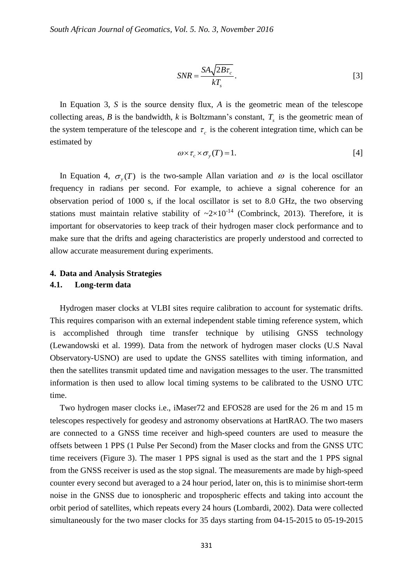$$
SNR = \frac{SA\sqrt{2B\tau_c}}{kT_s}.
$$

In Equation 3, *S* is the source density flux, *A* is the geometric mean of the telescope collecting areas,  $B$  is the bandwidth,  $k$  is Boltzmann's constant,  $T_s$  is the geometric mean of the system temperature of the telescope and  $\tau_c$  is the coherent integration time, which can be estimated by

$$
\omega \times \tau_c \times \sigma_y(T) = 1. \tag{4}
$$

In Equation 4,  $\sigma_y(T)$  is the two-sample Allan variation and  $\omega$  is the local oscillator frequency in radians per second. For example, to achieve a signal coherence for an observation period of 1000 s, if the local oscillator is set to 8.0 GHz, the two observing stations must maintain relative stability of  $\sim 2 \times 10^{-14}$  (Combrinck, 2013). Therefore, it is important for observatories to keep track of their hydrogen maser clock performance and to make sure that the drifts and ageing characteristics are properly understood and corrected to allow accurate measurement during experiments.

# **4. Data and Analysis Strategies**

# **4.1. Long-term data**

Hydrogen maser clocks at VLBI sites require calibration to account for systematic drifts. This requires comparison with an external independent stable timing reference system, which is accomplished through time transfer technique by utilising GNSS technology (Lewandowski et al. 1999). Data from the network of hydrogen maser clocks (U.S Naval Observatory-USNO) are used to update the GNSS satellites with timing information, and then the satellites transmit updated time and navigation messages to the user. The transmitted information is then used to allow local timing systems to be calibrated to the USNO UTC time.

 $\frac{SA\sqrt{2}}{kT}$ <br>  $lux, A$ <br>  $lztmar$ <br>  $\tau_c$  is t<br>  $\tau_c$  is t<br>  $\tau_c$  is t<br>  $\sim \sigma_y(T)$ <br>  $\geq \lambda 1$ <br>  $laxm$ <br>  $laxm$ <br>  $laxm$ <br>  $laxm$ <br>  $laxm$ <br>  $laxm$ <br>  $laxm$ <br>  $laxm$ <br>  $laxm$ <br>  $laxm$ <br>  $laxm$ <br>  $laxm$ <br>  $laxm$ <br>  $laxm$ <br>  $laxm$ <br>  $laxm$ <br>  $laxm$ <br>  $laxm$ <br>  $laxm$ Two hydrogen maser clocks i.e., iMaser72 and EFOS28 are used for the 26 m and 15 m telescopes respectively for geodesy and astronomy observations at HartRAO. The two masers are connected to a GNSS time receiver and high-speed counters are used to measure the offsets between 1 PPS (1 Pulse Per Second) from the Maser clocks and from the GNSS UTC time receivers [\(Figure](#page-5-0) 3). The maser 1 PPS signal is used as the start and the 1 PPS signal from the GNSS receiver is used as the stop signal. The measurements are made by high-speed counter every second but averaged to a 24 hour period, later on, this is to minimise short-term noise in the GNSS due to ionospheric and tropospheric effects and taking into account the orbit period of satellites, which repeats every 24 hours (Lombardi, 2002). Data were collected simultaneously for the two maser clocks for 35 days starting from 04-15-2015 to 05-19-2015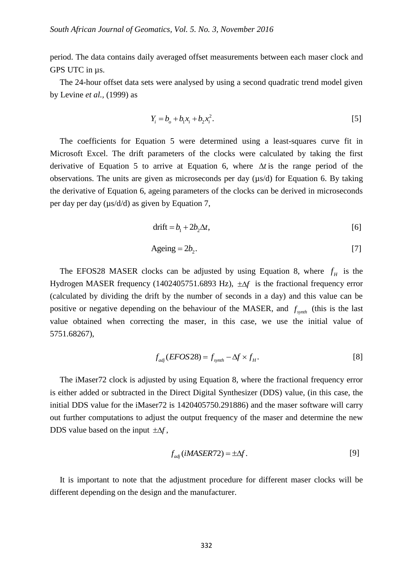period. The data contains daily averaged offset measurements between each maser clock and GPS UTC in  $\mu$ s.

The 24-hour offset data sets were analysed by using a second quadratic trend model given by Levine *et al.,* (1999) as

$$
Y_i = b_o + b_1 x_i + b_2 x_i^2.
$$
 [5]

The coefficients for Equation 5 were determined using a least-squares curve fit in Microsoft Excel. The drift parameters of the clocks were calculated by taking the first derivative of Equation 5 to arrive at Equation 6, where  $\Delta t$  is the range period of the observations. The units are given as microseconds per day (µs/d) for Equation 6. By taking the derivative of Equation 6, ageing parameters of the clocks can be derived in microseconds per day per day  $(\mu s/d/d)$  as given by Equation 7,

$$
drift = b_1 + 2b_2\Delta t,\tag{6}
$$

$$
A \text{geing} = 2b_2. \tag{7}
$$

The EFOS28 MASER clocks can be adjusted by using Equation 8, where  $f<sub>H</sub>$  is the Hydrogen MASER frequency (1402405751.6893 Hz),  $\pm \Delta f$  is the fractional frequency error (calculated by dividing the drift by the number of seconds in a day) and this value can be positive or negative depending on the behaviour of the MASER, and  $f_{synth}$  (this is the last value obtained when correcting the maser, in this case, we use the initial value of 5751.68267),

$$
f_{adj}(EFOS28) = f_{synth} - \Delta f \times f_H.
$$
 [8]

The iMaser72 clock is adjusted by using Equation 8, where the fractional frequency error is either added or subtracted in the Direct Digital Synthesizer (DDS) value, (in this case, the initial DDS value for the iMaser72 is 1420405750.291886) and the maser software will carry out further computations to adjust the output frequency of the maser and determine the new DDS value based on the input  $\pm \Delta f$ ,

$$
f_{adj}(iMASER72) = \pm \Delta f. \tag{9}
$$

It is important to note that the adjustment procedure for different maser clocks will be different depending on the design and the manufacturer.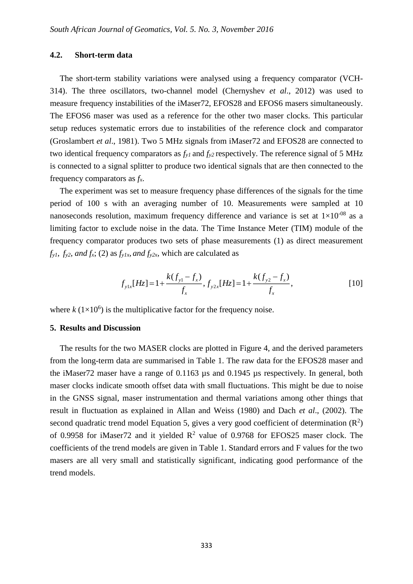# **4.2. Short-term data**

The short-term stability variations were analysed using a frequency comparator (VCH-314). The three oscillators, two-channel model (Chernyshev *et al*., 2012) was used to measure frequency instabilities of the iMaser72, EFOS28 and EFOS6 masers simultaneously. The EFOS6 maser was used as a reference for the other two maser clocks. This particular setup reduces systematic errors due to instabilities of the reference clock and comparator (Groslambert *et al*., 1981). Two 5 MHz signals from iMaser72 and EFOS28 are connected to two identical frequency comparators as *fy1* and *fy2* respectively. The reference signal of 5 MHz is connected to a signal splitter to produce two identical signals that are then connected to the frequency comparators as *fx*.

The experiment was set to measure frequency phase differences of the signals for the time period of 100 s with an averaging number of 10. Measurements were sampled at 10 nanoseconds resolution, maximum frequency difference and variance is set at  $1\times10^{-08}$  as a limiting factor to exclude noise in the data. The Time Instance Meter (TIM) module of the frequency comparator produces two sets of phase measurements (1) as direct measurement  $f_y$ *i*,  $f_y$ <sup>2</sup>, *and*  $f_x$ ; (2) as  $f_y$ / $_x$ , *and*  $f_y$ 2 $_x$ , which are calculated as

$$
f_{y1x}[Hz] = 1 + \frac{k(f_{y1} - f_x)}{f_x}, f_{y2x}[Hz] = 1 + \frac{k(f_{y2} - f_x)}{f_x},
$$
\n[10]

where  $k(1\times10^6)$  is the multiplicative factor for the frequency noise.

#### **5. Results and Discussion**

The results for the two MASER clocks are plotted in [Figure](#page-9-0) 4, and the derived parameters from the long-term data are summarised in [Table 1.](#page-10-0) The raw data for the EFOS28 maser and the iMaser72 maser have a range of 0.1163 µs and 0.1945 µs respectively. In general, both maser clocks indicate smooth offset data with small fluctuations. This might be due to noise in the GNSS signal, maser instrumentation and thermal variations among other things that result in fluctuation as explained in Allan and Weiss (1980) and Dach *et al*., (2002). The second quadratic trend model Equation 5, gives a very good coefficient of determination  $(R<sup>2</sup>)$ of 0.9958 for iMaser72 and it yielded  $R^2$  value of 0.9768 for EFOS25 maser clock. The coefficients of the trend models are given in [Table 1.](#page-10-0) Standard errors and F values for the two masers are all very small and statistically significant, indicating good performance of the trend models.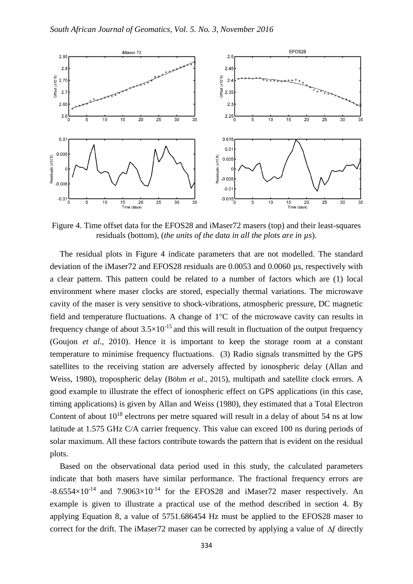

<span id="page-9-0"></span>Figure 4. Time offset data for the EFOS28 and iMaser72 masers (top) and their least-squares residuals (bottom), (*the units of the data in all the plots are in µs*).

The residual plots in [Figure](#page-9-0) 4 indicate parameters that are not modelled. The standard deviation of the iMaser72 and EFOS28 residuals are 0.0053 and 0.0060 µs, respectively with a clear pattern. This pattern could be related to a number of factors which are (1) local environment where maser clocks are stored, especially thermal variations. The microwave cavity of the maser is very sensitive to shock-vibrations, atmospheric pressure, DC magnetic field and temperature fluctuations. A change of  $1^{\circ}C$  of the microwave cavity can results in frequency change of about  $3.5 \times 10^{-15}$  and this will result in fluctuation of the output frequency (Goujon *et al.,* 2010). Hence it is important to keep the storage room at a constant temperature to minimise frequency fluctuations. (3) Radio signals transmitted by the GPS satellites to the receiving station are adversely affected by ionospheric delay (Allan and Weiss, 1980), tropospheric delay (Böhm *et al.,* 2015), multipath and satellite clock errors. A good example to illustrate the effect of ionospheric effect on GPS applications (in this case, timing applications) is given by Allan and Weiss (1980), they estimated that a Total Electron Content of about  $10^{18}$  electrons per metre squared will result in a delay of about 54 ns at low latitude at 1.575 GHz C/A carrier frequency. This value can exceed 100 ns during periods of solar maximum. All these factors contribute towards the pattern that is evident on the residual plots.

Based on the observational data period used in this study, the calculated parameters indicate that both masers have similar performance. The fractional frequency errors are  $-8.6554\times10^{-14}$  and  $7.9063\times10^{-14}$  for the EFOS28 and iMaser72 maser respectively. An example is given to illustrate a practical use of the method described in section 4. By applying Equation 8, a value of 5751.686454 Hz must be applied to the EFOS28 maser to correct for the drift. The iMaser72 maser can be corrected by applying a value of  $\Delta f$  directly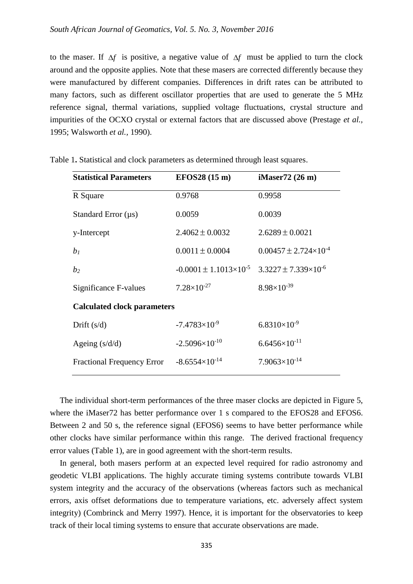to the maser. If  $\Delta f$  is positive, a negative value of  $\Delta f$  must be applied to turn the clock around and the opposite applies. Note that these masers are corrected differently because they were manufactured by different companies. Differences in drift rates can be attributed to many factors, such as different oscillator properties that are used to generate the 5 MHz reference signal, thermal variations, supplied voltage fluctuations, crystal structure and impurities of the OCXO crystal or external factors that are discussed above (Prestage *et al.,* 1995; Walsworth *et al.,* 1990).

| <b>Statistical Parameters</b>      | <b>EFOS28 (15 m)</b>                | iMaser72 (26 m)                    |
|------------------------------------|-------------------------------------|------------------------------------|
| R Square                           | 0.9768                              | 0.9958                             |
| Standard Error $(\mu s)$           | 0.0059                              | 0.0039                             |
| y-Intercept                        | $2.4062 \pm 0.0032$                 | $2.6289 \pm 0.0021$                |
| b <sub>1</sub>                     | $0.0011 \pm 0.0004$                 | $0.00457 \pm 2.724 \times 10^{-4}$ |
| b <sub>2</sub>                     | $-0.0001 \pm 1.1013 \times 10^{-5}$ | $3.3227 \pm 7.339 \times 10^{-6}$  |
| Significance F-values              | $7.28\times10^{-27}$                | $8.98\times10^{-39}$               |
| <b>Calculated clock parameters</b> |                                     |                                    |
| Drift $(s/d)$                      | $-7.4783\times10^{-9}$              | $6.8310\times10^{-9}$              |
| Ageing $(s/d/d)$                   | $-2.5096\times10^{-10}$             | $6.6456\times10^{-11}$             |
| <b>Fractional Frequency Error</b>  | $-8.6554\times10^{-14}$             | $7.9063\times10^{-14}$             |

<span id="page-10-0"></span>Table 1**.** Statistical and clock parameters as determined through least squares.

The individual short-term performances of the three maser clocks are depicted in [Figure](#page-11-0) 5, where the iMaser72 has better performance over 1 s compared to the EFOS28 and EFOS6. Between 2 and 50 s, the reference signal (EFOS6) seems to have better performance while other clocks have similar performance within this range. The derived fractional frequency error values [\(Table 1\)](#page-10-0), are in good agreement with the short-term results.

In general, both masers perform at an expected level required for radio astronomy and geodetic VLBI applications. The highly accurate timing systems contribute towards VLBI system integrity and the accuracy of the observations (whereas factors such as mechanical errors, axis offset deformations due to temperature variations, etc. adversely affect system integrity) (Combrinck and Merry 1997). Hence, it is important for the observatories to keep track of their local timing systems to ensure that accurate observations are made.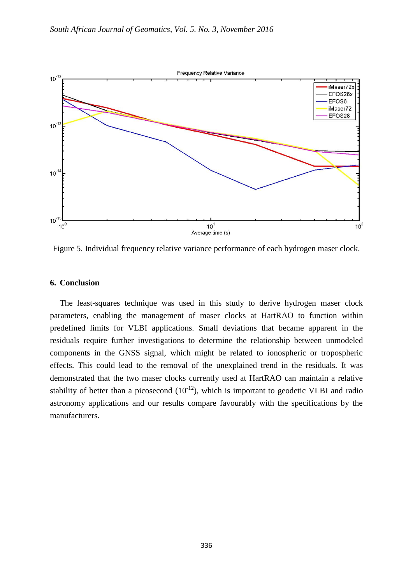

<span id="page-11-0"></span>Figure 5. Individual frequency relative variance performance of each hydrogen maser clock.

# **6. Conclusion**

The least-squares technique was used in this study to derive hydrogen maser clock parameters, enabling the management of maser clocks at HartRAO to function within predefined limits for VLBI applications. Small deviations that became apparent in the residuals require further investigations to determine the relationship between unmodeled components in the GNSS signal, which might be related to ionospheric or tropospheric effects. This could lead to the removal of the unexplained trend in the residuals. It was demonstrated that the two maser clocks currently used at HartRAO can maintain a relative stability of better than a picosecond  $(10^{-12})$ , which is important to geodetic VLBI and radio astronomy applications and our results compare favourably with the specifications by the manufacturers.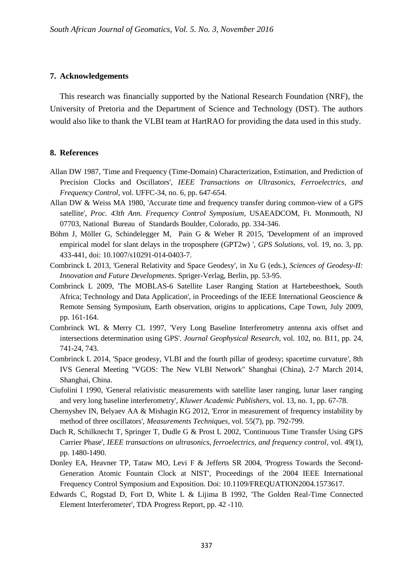# **7. Acknowledgements**

This research was financially supported by the National Research Foundation (NRF), the University of Pretoria and the Department of Science and Technology (DST). The authors would also like to thank the VLBI team at HartRAO for providing the data used in this study.

## **8. References**

- Allan DW 1987, 'Time and Frequency (Time-Domain) Characterization, Estimation, and Prediction of Precision Clocks and Oscillators', *IEEE Transactions on Ultrasonics, Ferroelectrics, and Frequency Control*, vol. UFFC-34, no. 6, pp. 647-654.
- Allan DW & Weiss MA 1980, 'Accurate time and frequency transfer during common-view of a GPS satellite', *Proc. 43th Ann. Frequency Control Symposium*, USAEADCOM, Ft. Monmouth, NJ 07703, National Bureau of Standards Boulder, Colorado, pp. 334-346.
- Böhm J, Möller G, Schindelegger M, Pain G & Weber R 2015, 'Development of an improved empirical model for slant delays in the troposphere (GPT2w) ', *GPS Solutions,* vol. 19, no. 3, pp. 433-441, doi: 10.1007/s10291-014-0403-7.
- Combrinck L 2013, 'General Relativity and Space Geodesy', in Xu G (eds.), *Sciences of Geodesy-II: Innovation and Future Developments*. Spriger-Verlag, Berlin, pp. 53-95.
- Combrinck L 2009, 'The MOBLAS-6 Satellite Laser Ranging Station at Hartebeesthoek, South Africa; Technology and Data Application', in Proceedings of the IEEE International Geoscience & Remote Sensing Symposium, Earth observation, origins to applications, Cape Town, July 2009, pp. 161-164.
- Combrinck WL & Merry CL 1997, 'Very Long Baseline Interferometry antenna axis offset and intersections determination using GPS'. *Journal Geophysical Research*, vol. 102, no. B11, pp. 24, 741-24, 743.
- Combrinck L 2014, 'Space geodesy, VLBI and the fourth pillar of geodesy; spacetime curvature', 8th IVS General Meeting "VGOS: The New VLBI Network" Shanghai (China), 2-7 March 2014, Shanghai, China.
- Ciufolini I 1990, 'General relativistic measurements with satellite laser ranging, lunar laser ranging and very long baseline interferometry', *Kluwer Academic Publishers*, vol. 13, no. 1, pp. 67-78.
- Chernyshev IN, Belyaev AA & Mishagin KG 2012, 'Error in measurement of frequency instability by method of three oscillators', *Measurements Techniques*, vol. 55(7), pp. 792-799.
- Dach R, Schilknecht T, Springer T, Dudle G & Prost L 2002, 'Continuous Time Transfer Using GPS Carrier Phase', *IEEE transactions on ultrasonics, ferroelectrics, and frequency control*, vol. 49(1), pp. 1480-1490.
- Donley EA, Heavner TP, Tataw MO, Levi F & Jefferts SR 2004, 'Progress Towards the Second-Generation Atomic Fountain Clock at NIST', Proceedings of the 2004 IEEE International Frequency Control Symposium and Exposition. Doi: 10.1109/FREQUATION2004.1573617.
- Edwards C, Rogstad D, Fort D, White L & Lijima B 1992, 'The Golden Real-Time Connected Element Interferometer', TDA Progress Report, pp. 42 -110.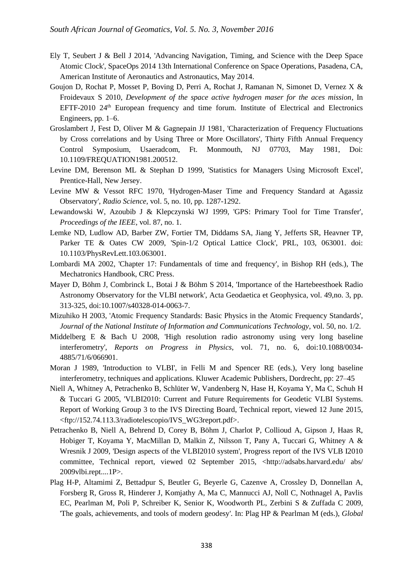- Ely T, Seubert J & Bell J 2014, 'Advancing Navigation, Timing, and Science with the Deep Space Atomic Clock', SpaceOps 2014 13th International Conference on Space Operations, Pasadena, CA, American Institute of Aeronautics and Astronautics, May 2014.
- Goujon D, Rochat P, Mosset P, Boving D, Perri A, Rochat J, Ramanan N, Simonet D, Vernez X & Froidevaux S 2010, *Development of the space active hydrogen maser for the aces mission*, In EFTF-2010 24<sup>th</sup> European frequency and time forum. Institute of Electrical and Electronics Engineers, pp. 1–6.
- Groslambert J, Fest D, Oliver M & Gagnepain JJ 1981, 'Characterization of Frequency Fluctuations by Cross correlations and by Using Three or More Oscillators', Thirty Fifth Annual Frequency Control Symposium, Usaeradcom, Ft. Monmouth, NJ 07703, May 1981, Doi: 10.1109/FREQUATION1981.200512.
- Levine DM, Berenson ML & Stephan D 1999, 'Statistics for Managers Using Microsoft Excel', Prentice-Hall, New Jersey.
- Levine MW & Vessot RFC 1970, 'Hydrogen-Maser Time and Frequency Standard at Agassiz Observatory', *Radio Science*, vol. 5, no. 10, pp. 1287-1292.
- Lewandowski W, Azoubib J & Klepczynski WJ 1999, 'GPS: Primary Tool for Time Transfer', *Proceedings of the IEEE*, vol. 87, no. 1.
- Lemke ND, Ludlow AD, Barber ZW, Fortier TM, Diddams SA, Jiang Y, Jefferts SR, Heavner TP, Parker TE & Oates CW 2009, 'Spin-1/2 Optical Lattice Clock', PRL, 103, 063001. doi: 10.1103/PhysRevLett.103.063001.
- Lombardi MA 2002, 'Chapter 17: Fundamentals of time and frequency', in Bishop RH (eds.), The Mechatronics Handbook, CRC Press.
- Mayer D, Böhm J, Combrinck L, Botai J & Böhm S 2014, 'Importance of the Hartebeesthoek Radio Astronomy Observatory for the VLBI network', Acta Geodaetica et Geophysica, vol. 49,no. 3, pp. 313-325, doi:10.1007/s40328-014-0063-7.
- Mizuhiko H 2003, 'Atomic Frequency Standards: Basic Physics in the Atomic Frequency Standards', *Journal of the National Institute of Information and Communications Technology*, vol. 50, no. 1/2.
- Middelberg E & Bach U 2008, 'High resolution radio astronomy using very long baseline interferometry', *Reports on Progress in Physics*, vol. 71, no. 6, doi:10.1088/0034- 4885/71/6/066901.
- Moran J 1989, 'Introduction to VLBI', in Felli M and Spencer RE (eds.), Very long baseline interferometry, techniques and applications. Kluwer Academic Publishers, Dordrecht, pp: 27–45
- Niell A, Whitney A, Petrachenko B, Schlüter W, Vandenberg N, Hase H, Koyama Y, Ma C, Schuh H & Tuccari G 2005, 'VLBI2010: Current and Future Requirements for Geodetic VLBI Systems. Report of Working Group 3 to the IVS Directing Board, Technical report, viewed 12 June 2015, <ftp://152.74.113.3/radiotelescopio/IVS\_WG3report.pdf>.
- Petrachenko B, Niell A, Behrend D, Corey B, Böhm J, Charlot P, Collioud A, Gipson J, Haas R, Hobiger T, Koyama Y, MacMillan D, Malkin Z, Nilsson T, Pany A, Tuccari G, Whitney A & Wresnik J 2009, 'Design aspects of the VLBI2010 system', Progress report of the IVS VLB I2010 committee, Technical report, viewed 02 September 2015, <http://adsabs.harvard.edu/ abs/ 2009vlbi.rept....1P>.
- Plag H-P, Altamimi Z, Bettadpur S, Beutler G, Beyerle G, Cazenve A, Crossley D, Donnellan A, Forsberg R, Gross R, Hinderer J, Komjathy A, Ma C, Mannucci AJ, Noll C, Nothnagel A, Pavlis EC, Pearlman M, Poli P, Schreiber K, Senior K, Woodworth PL, Zerbini S & Zuffada C 2009, 'The goals, achievements, and tools of modern geodesy'. In: Plag HP & Pearlman M (eds.), *Global*